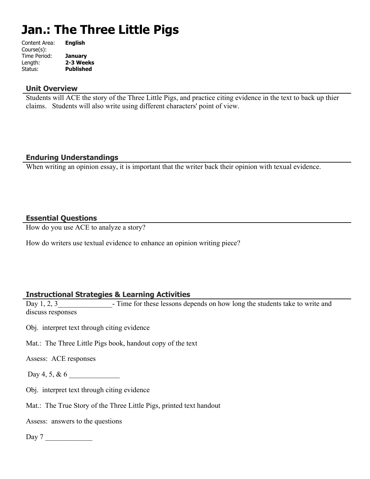# **Jan.: The Three Little Pigs**

| Content Area: | <b>English</b>   |
|---------------|------------------|
| Course(s):    |                  |
| Time Period:  | <b>January</b>   |
| Length:       | 2-3 Weeks        |
| Status:       | <b>Published</b> |
|               |                  |

#### **Unit Overview**

Students will ACE the story of the Three Little Pigs, and practice citing evidence in the text to back up thier claims. Students will also write using different characters' point of view.

# **Enduring Understandings**

When writing an opinion essay, it is important that the writer back their opinion with texual evidence.

## **Essential Questions**

How do you use ACE to analyze a story?

How do writers use textual evidence to enhance an opinion writing piece?

# **Instructional Strategies & Learning Activities**

Day 1, 2, 3 Time for these lessons depends on how long the students take to write and discuss responses

- Obj. interpret text through citing evidence
- Mat.: The Three Little Pigs book, handout copy of the text

Assess: ACE responses

- Day 4, 5, & 6
- Obj. interpret text through citing evidence
- Mat.: The True Story of the Three Little Pigs, printed text handout

Assess: answers to the questions

Day 7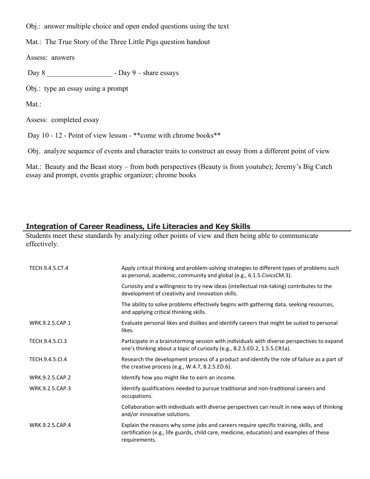Obj.: answer multiple choice and open ended questions using the text

Mat.: The True Story of the Three Little Pigs question handout

Assess: answers

Day 8 \_\_\_\_\_\_\_\_\_\_\_\_\_\_\_\_\_\_ - Day 9 – share essays

Obj.: type an essay using a prompt

Mat.:

Assess: completed essay

Day 10 - 12 - Point of view lesson - \*\* come with chrome books\*\*

Obj. analyze sequence of events and character traits to construct an essay from a different point of view

Mat.: Beauty and the Beast story – from both perspectives (Beauty is from youtube); Jeremy's Big Catch essay and prompt, events graphic organizer; chrome books

## **Integration of Career Readiness, Life Literacies and Key Skills**

Students meet these standards by analyzing other points of view and then being able to communicate effectively.

| TECH.9.4.5.CT.4 | Apply critical thinking and problem-solving strategies to different types of problems such<br>as personal, academic, community and global (e.g., 6.1.5.CivicsCM.3).                               |
|-----------------|---------------------------------------------------------------------------------------------------------------------------------------------------------------------------------------------------|
|                 | Curiosity and a willingness to try new ideas (intellectual risk-taking) contributes to the<br>development of creativity and innovation skills.                                                    |
|                 | The ability to solve problems effectively begins with gathering data, seeking resources,<br>and applying critical thinking skills.                                                                |
| WRK.9.2.5.CAP.1 | Evaluate personal likes and dislikes and identify careers that might be suited to personal<br>likes.                                                                                              |
| TECH.9.4.5.Cl.3 | Participate in a brainstorming session with individuals with diverse perspectives to expand<br>one's thinking about a topic of curiosity (e.g., 8.2.5.ED.2, 1.5.5.CR1a).                          |
| TECH.9.4.5.Cl.4 | Research the development process of a product and identify the role of failure as a part of<br>the creative process (e.g., $W.4.7$ , 8.2.5.ED.6).                                                 |
| WRK.9.2.5.CAP.2 | Identify how you might like to earn an income.                                                                                                                                                    |
| WRK.9.2.5.CAP.3 | Identify qualifications needed to pursue traditional and non-traditional careers and<br>occupations.                                                                                              |
|                 | Collaboration with individuals with diverse perspectives can result in new ways of thinking<br>and/or innovative solutions.                                                                       |
| WRK.9.2.5.CAP.4 | Explain the reasons why some jobs and careers require specific training, skills, and<br>certification (e.g., life guards, child care, medicine, education) and examples of these<br>requirements. |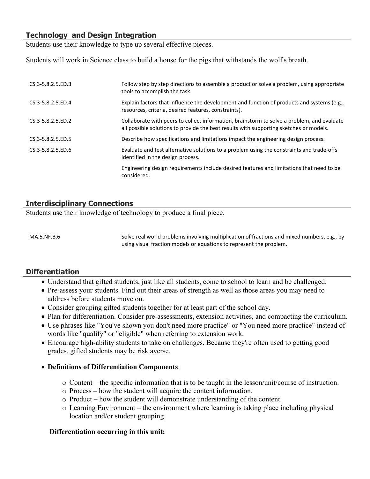## **Technology and Design Integration**

Students use their knowledge to type up several effective pieces.

Students will work in Science class to build a house for the pigs that withstands the wolf's breath.

| CS.3-5.8.2.5.ED.3      | Follow step by step directions to assemble a product or solve a problem, using appropriate<br>tools to accomplish the task.                                                          |
|------------------------|--------------------------------------------------------------------------------------------------------------------------------------------------------------------------------------|
| $CS.3 - 5.8.2.5$ .ED.4 | Explain factors that influence the development and function of products and systems (e.g.,<br>resources, criteria, desired features, constraints).                                   |
| $CS.3 - 5.8.2.5$ .ED.2 | Collaborate with peers to collect information, brainstorm to solve a problem, and evaluate<br>all possible solutions to provide the best results with supporting sketches or models. |
| CS.3-5.8.2.5.ED.5      | Describe how specifications and limitations impact the engineering design process.                                                                                                   |
| $CS.3 - 5.8.2.5$ .ED.6 | Evaluate and test alternative solutions to a problem using the constraints and trade-offs<br>identified in the design process.                                                       |
|                        | Engineering design requirements include desired features and limitations that need to be<br>considered.                                                                              |

# **Interdisciplinary Connections**

Students use their knowledge of technology to produce a final piece.

MA.5.NF.B.6 Solve real world problems involving multiplication of fractions and mixed numbers, e.g., by using visual fraction models or equations to represent the problem.

#### **Differentiation**

- Understand that gifted students, just like all students, come to school to learn and be challenged.
- Pre-assess your students. Find out their areas of strength as well as those areas you may need to address before students move on.
- Consider grouping gifted students together for at least part of the school day.
- Plan for differentiation. Consider pre-assessments, extension activities, and compacting the curriculum.
- Use phrases like "You've shown you don't need more practice" or "You need more practice" instead of words like "qualify" or "eligible" when referring to extension work.
- Encourage high-ability students to take on challenges. Because they're often used to getting good grades, gifted students may be risk averse.

#### **Definitions of Differentiation Components**:

- o Content the specific information that is to be taught in the lesson/unit/course of instruction.
- o Process how the student will acquire the content information.
- o Product how the student will demonstrate understanding of the content.
- o Learning Environment the environment where learning is taking place including physical location and/or student grouping

#### **Differentiation occurring in this unit:**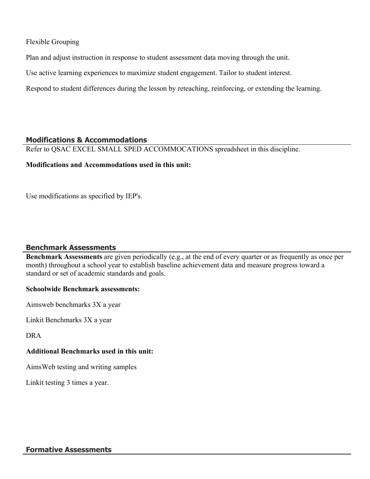Flexible Grouping

Plan and adjust instruction in response to student assessment data moving through the unit.

Use active learning experiences to maximize student engagement. Tailor to student interest.

Respond to student differences during the lesson by reteaching, reinforcing, or extending the learning.

#### **Modifications & Accommodations**

Refer to QSAC EXCEL SMALL SPED ACCOMMOCATIONS spreadsheet in this discipline.

#### **Modifications and Accommodations used in this unit:**

Use modifications as specified by IEP's.

# **Benchmark Assessments**

**Benchmark Assessments** are given periodically (e.g., at the end of every quarter or as frequently as once per month) throughout a school year to establish baseline achievement data and measure progress toward a standard or set of academic standards and goals.

#### **Schoolwide Benchmark assessments:**

Aimsweb benchmarks 3X a year

Linkit Benchmarks 3X a year

DRA

#### **Additional Benchmarks used in this unit:**

AimsWeb testing and writing samples

Linkit testing 3 times a year.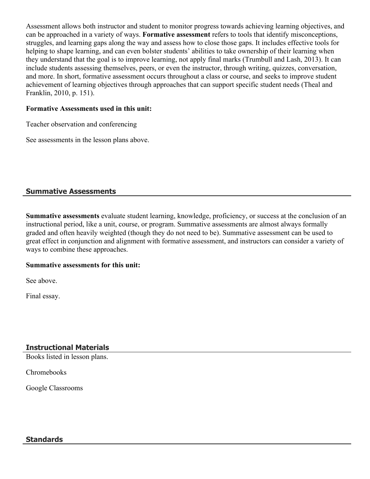Assessment allows both instructor and student to monitor progress towards achieving learning objectives, and can be approached in a variety of ways. **Formative assessment** refers to tools that identify misconceptions, struggles, and learning gaps along the way and assess how to close those gaps. It includes effective tools for helping to shape learning, and can even bolster students' abilities to take ownership of their learning when they understand that the goal is to improve learning, not apply final marks (Trumbull and Lash, 2013). It can include students assessing themselves, peers, or even the instructor, through writing, quizzes, conversation, and more. In short, formative assessment occurs throughout a class or course, and seeks to improve student achievement of learning objectives through approaches that can support specific student needs (Theal and Franklin, 2010, p. 151).

#### **Formative Assessments used in this unit:**

Teacher observation and conferencing

See assessments in the lesson plans above.

# **Summative Assessments**

**Summative assessments** evaluate student learning, knowledge, proficiency, or success at the conclusion of an instructional period, like a unit, course, or program. Summative assessments are almost always formally graded and often heavily weighted (though they do not need to be). Summative assessment can be used to great effect in conjunction and alignment with formative assessment, and instructors can consider a variety of ways to combine these approaches.

#### **Summative assessments for this unit:**

See above.

Final essay.

# **Instructional Materials**

Books listed in lesson plans.

Chromebooks

Google Classrooms

#### **Standards**